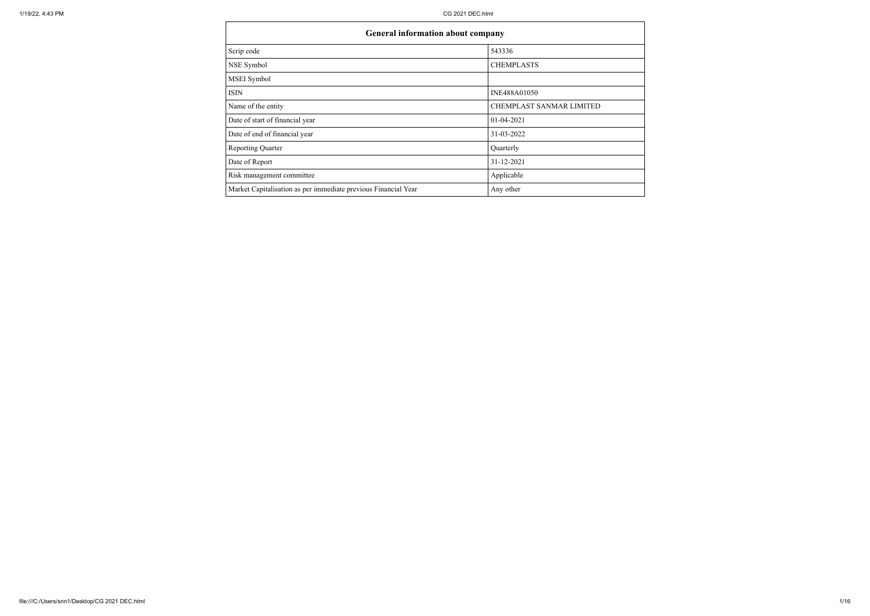|                                                                | <b>General information about company</b> |  |  |  |  |  |  |
|----------------------------------------------------------------|------------------------------------------|--|--|--|--|--|--|
| Scrip code                                                     | 543336                                   |  |  |  |  |  |  |
| NSE Symbol                                                     | <b>CHEMPLASTS</b>                        |  |  |  |  |  |  |
| MSEI Symbol                                                    |                                          |  |  |  |  |  |  |
| <b>ISIN</b>                                                    | INE488A01050                             |  |  |  |  |  |  |
| Name of the entity                                             | CHEMPLAST SANMAR LIMITED                 |  |  |  |  |  |  |
| Date of start of financial year                                | $01-04-2021$                             |  |  |  |  |  |  |
| Date of end of financial year                                  | 31-03-2022                               |  |  |  |  |  |  |
| <b>Reporting Quarter</b>                                       | Quarterly                                |  |  |  |  |  |  |
| Date of Report                                                 | 31-12-2021                               |  |  |  |  |  |  |
| Risk management committee                                      | Applicable                               |  |  |  |  |  |  |
| Market Capitalisation as per immediate previous Financial Year | Any other                                |  |  |  |  |  |  |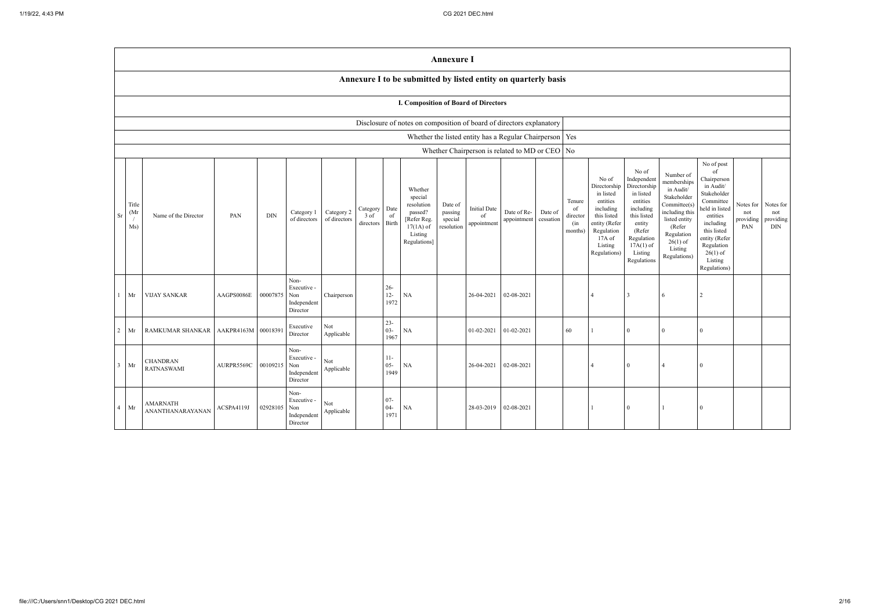|                |                                   |                                     |                     |            |                                                       |                            |                                      |                          |                                                                                                      | <b>Annexure I</b>                           |                                          |                                                           |         |                                            |                                                                                                                                                  |                                                                                                                                                                      |                                                                                                                                                                         |                                                                                                                                                                                                                                                    |                                             |
|----------------|-----------------------------------|-------------------------------------|---------------------|------------|-------------------------------------------------------|----------------------------|--------------------------------------|--------------------------|------------------------------------------------------------------------------------------------------|---------------------------------------------|------------------------------------------|-----------------------------------------------------------|---------|--------------------------------------------|--------------------------------------------------------------------------------------------------------------------------------------------------|----------------------------------------------------------------------------------------------------------------------------------------------------------------------|-------------------------------------------------------------------------------------------------------------------------------------------------------------------------|----------------------------------------------------------------------------------------------------------------------------------------------------------------------------------------------------------------------------------------------------|---------------------------------------------|
|                |                                   |                                     |                     |            |                                                       |                            |                                      |                          | Annexure I to be submitted by listed entity on quarterly basis                                       |                                             |                                          |                                                           |         |                                            |                                                                                                                                                  |                                                                                                                                                                      |                                                                                                                                                                         |                                                                                                                                                                                                                                                    |                                             |
|                |                                   |                                     |                     |            |                                                       |                            |                                      |                          | I. Composition of Board of Directors                                                                 |                                             |                                          |                                                           |         |                                            |                                                                                                                                                  |                                                                                                                                                                      |                                                                                                                                                                         |                                                                                                                                                                                                                                                    |                                             |
|                |                                   |                                     |                     |            |                                                       |                            |                                      |                          | Disclosure of notes on composition of board of directors explanatory                                 |                                             |                                          |                                                           |         |                                            |                                                                                                                                                  |                                                                                                                                                                      |                                                                                                                                                                         |                                                                                                                                                                                                                                                    |                                             |
|                |                                   |                                     |                     |            |                                                       |                            |                                      |                          |                                                                                                      |                                             |                                          | Whether the listed entity has a Regular Chairperson   Yes |         |                                            |                                                                                                                                                  |                                                                                                                                                                      |                                                                                                                                                                         |                                                                                                                                                                                                                                                    |                                             |
|                |                                   |                                     |                     |            |                                                       |                            |                                      |                          |                                                                                                      |                                             |                                          | Whether Chairperson is related to MD or CEO $\vert$ No    |         |                                            |                                                                                                                                                  |                                                                                                                                                                      |                                                                                                                                                                         |                                                                                                                                                                                                                                                    |                                             |
| <b>Sr</b>      | Title<br>(M <sub>1</sub> )<br>Ms) | Name of the Director                | PAN                 | <b>DIN</b> | Category 1<br>of directors                            | Category 2<br>of directors | Category Date<br>$3$ of<br>directors | of<br>Birth              | Whether<br>special<br>resolution<br>passed?<br>[Refer Reg.<br>$17(1A)$ of<br>Listing<br>Regulations] | Date of<br>passing<br>special<br>resolution | <b>Initial Date</b><br>of<br>appointment | Date of Re-<br>appointment eessation                      | Date of | Tenure<br>of<br>director<br>(in<br>months) | No of<br>Directorship<br>in listed<br>entities<br>including<br>this listed<br>entity (Refer<br>Regulation<br>$17A$ of<br>Listing<br>Regulations) | No of<br>Independent<br>Directorship<br>in listed<br>entities<br>including<br>this listed<br>entity<br>(Refer<br>Regulation<br>$17A(1)$ of<br>Listing<br>Regulations | Number of<br>memberships<br>in Audit/<br>Stakeholder<br>Commitee(s)<br>including this<br>listed entity<br>(Refer<br>Regulation<br>$26(1)$ of<br>Listing<br>Regulations) | No of post<br>of<br>Chairperson<br>in Audit/<br>Stakeholder<br>Committee<br>Notes for<br>held in listed<br>not<br>entities<br>providing<br>including<br>PAN<br>this listed<br>entity (Refer<br>Regulation<br>$26(1)$ of<br>Listing<br>Regulations) | Notes for<br>not<br>providing<br><b>DIN</b> |
| $1 \quad$      | Mr                                | <b>VIJAY SANKAR</b>                 | AAGPS0086E          | 00007875   | Non-<br>Executive -<br>Non<br>Independent<br>Director | Chairperson                |                                      | $26 -$<br>$12 -$<br>1972 | <b>NA</b>                                                                                            |                                             | 26-04-2021                               | 02-08-2021                                                |         |                                            |                                                                                                                                                  | 3                                                                                                                                                                    | 6                                                                                                                                                                       |                                                                                                                                                                                                                                                    |                                             |
| $\overline{2}$ | Mr                                | RAMKUMAR SHANKAR                    | AAKPR4163M 00018391 |            | Executive<br>Director                                 | Not<br>Applicable          |                                      | $23 -$<br>$03 -$<br>1967 | $\rm NA$                                                                                             |                                             | 01-02-2021                               | 01-02-2021                                                |         | 60                                         |                                                                                                                                                  | $\Omega$                                                                                                                                                             | 0                                                                                                                                                                       | $\Omega$                                                                                                                                                                                                                                           |                                             |
| 3 <sup>1</sup> | Mr                                | CHANDRAN<br><b>RATNASWAMI</b>       | AURPR5569C          | 00109215   | Non-<br>Executive -<br>Non<br>Independent<br>Director | Not<br>Applicable          |                                      | $11-$<br>$05 -$<br>1949  | NA                                                                                                   |                                             | 26-04-2021                               | 02-08-2021                                                |         |                                            |                                                                                                                                                  |                                                                                                                                                                      |                                                                                                                                                                         |                                                                                                                                                                                                                                                    |                                             |
|                | $4$ Mr                            | <b>AMARNATH</b><br>ANANTHANARAYANAN | ACSPA4119J          | 02928105   | Non-<br>Executive -<br>Non<br>Independent<br>Director | Not<br>Applicable          |                                      | $07 -$<br>$04 -$<br>1971 | $\rm NA$                                                                                             |                                             |                                          | 28-03-2019 02-08-2021                                     |         |                                            |                                                                                                                                                  | $\overline{0}$                                                                                                                                                       |                                                                                                                                                                         | $\theta$                                                                                                                                                                                                                                           |                                             |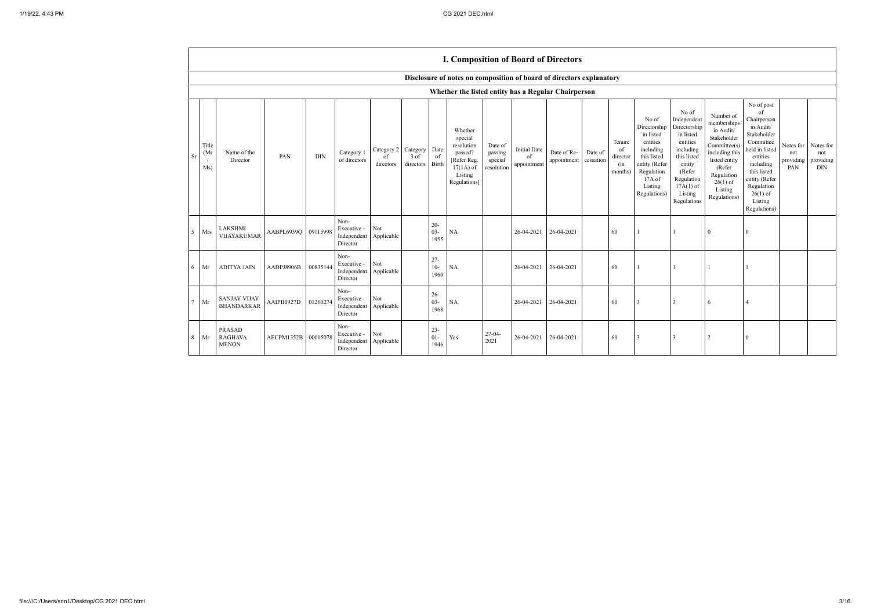|    |                     |                                                 |                     |            |                                                |                               |                                    |                          | <b>I. Composition of Board of Directors</b>                                                          |                                             |                                          |                            |                      |                                            |                                                                                                                                                  |                                                                                                                                                                      |                                                                                                                                                                          |                                                                                                                                                                                                            |                                      |                                             |
|----|---------------------|-------------------------------------------------|---------------------|------------|------------------------------------------------|-------------------------------|------------------------------------|--------------------------|------------------------------------------------------------------------------------------------------|---------------------------------------------|------------------------------------------|----------------------------|----------------------|--------------------------------------------|--------------------------------------------------------------------------------------------------------------------------------------------------|----------------------------------------------------------------------------------------------------------------------------------------------------------------------|--------------------------------------------------------------------------------------------------------------------------------------------------------------------------|------------------------------------------------------------------------------------------------------------------------------------------------------------------------------------------------------------|--------------------------------------|---------------------------------------------|
|    |                     |                                                 |                     |            |                                                |                               |                                    |                          | Disclosure of notes on composition of board of directors explanatory                                 |                                             |                                          |                            |                      |                                            |                                                                                                                                                  |                                                                                                                                                                      |                                                                                                                                                                          |                                                                                                                                                                                                            |                                      |                                             |
|    |                     |                                                 |                     |            |                                                |                               |                                    |                          | Whether the listed entity has a Regular Chairperson                                                  |                                             |                                          |                            |                      |                                            |                                                                                                                                                  |                                                                                                                                                                      |                                                                                                                                                                          |                                                                                                                                                                                                            |                                      |                                             |
| Sr | Title<br>(Mr<br>Ms) | Name of the<br>Director                         | PAN                 | <b>DIN</b> | Category 1<br>of directors                     | Category 2<br>of<br>directors | Category Date<br>3 of<br>directors | of<br>Birth              | Whether<br>special<br>resolution<br>passed?<br>[Refer Reg.<br>$17(1A)$ of<br>Listing<br>Regulations] | Date of<br>passing<br>special<br>resolution | <b>Initial Date</b><br>of<br>appointment | Date of Re-<br>appointment | Date of<br>cessation | Tenure<br>of<br>director<br>(in<br>months) | No of<br>Directorship<br>in listed<br>entities<br>including<br>this listed<br>entity (Refer<br>Regulation<br>$17A$ of<br>Listing<br>Regulations) | No of<br>Independent<br>Directorship<br>in listed<br>entities<br>including<br>this listed<br>entity<br>(Refer<br>Regulation<br>$17A(1)$ of<br>Listing<br>Regulations | Number of<br>memberships<br>in Audit/<br>Stakeholder<br>Committee(s)<br>including this<br>listed entity<br>(Refer<br>Regulation<br>$26(1)$ of<br>Listing<br>Regulations) | No of post<br>of<br>Chairperson<br>in Audit/<br>Stakeholder<br>Committee<br>held in listed<br>entities<br>including<br>this listed<br>entity (Refer<br>Regulation<br>$26(1)$ of<br>Listing<br>Regulations) | Notes for<br>not<br>providing<br>PAN | Notes for<br>not<br>providing<br><b>DIN</b> |
| 5. | Mrs                 | <b>LAKSHMI</b><br>VIJAYAKUMAR                   | AABPL6939Q 09115998 |            | Non-<br>Executive -<br>Independent<br>Director | Not<br>Applicable             |                                    | $20 -$<br>$03 -$<br>1955 | <b>NA</b>                                                                                            |                                             | 26-04-2021                               | 26-04-2021                 |                      | 60                                         |                                                                                                                                                  |                                                                                                                                                                      | $\Omega$                                                                                                                                                                 | 0                                                                                                                                                                                                          |                                      |                                             |
| 6  | Mr                  | <b>ADITYA JAIN</b>                              | AADPJ8906B          | 00835144   | Non-<br>Executive -<br>Independent<br>Director | Not<br>Applicable             |                                    | $27 -$<br>$10-$<br>1960  | <b>NA</b>                                                                                            |                                             | 26-04-2021                               | 26-04-2021                 |                      | 60                                         |                                                                                                                                                  |                                                                                                                                                                      |                                                                                                                                                                          |                                                                                                                                                                                                            |                                      |                                             |
|    | Mr                  | <b>SANJAY VIJAY</b><br><b>BHANDARKAR</b>        | AAIPB0927D          | 01260274   | Non-<br>Executive -<br>Independent<br>Director | Not<br>Applicable             |                                    | $26 -$<br>$03 -$<br>1968 | <b>NA</b>                                                                                            |                                             | 26-04-2021                               | 26-04-2021                 |                      | 60                                         | -3                                                                                                                                               | 3                                                                                                                                                                    | 6                                                                                                                                                                        |                                                                                                                                                                                                            |                                      |                                             |
| 8  | Mr                  | <b>PRASAD</b><br><b>RAGHAVA</b><br><b>MENON</b> | AECPM1352B          | 00005078   | Non-<br>Executive -<br>Independent<br>Director | Not<br>Applicable             |                                    | $23 -$<br>$01 -$<br>1946 | Yes                                                                                                  | $27-04-$<br>2021                            | 26-04-2021                               | 26-04-2021                 |                      | 60                                         | 3                                                                                                                                                | 3                                                                                                                                                                    | 2                                                                                                                                                                        | 0                                                                                                                                                                                                          |                                      |                                             |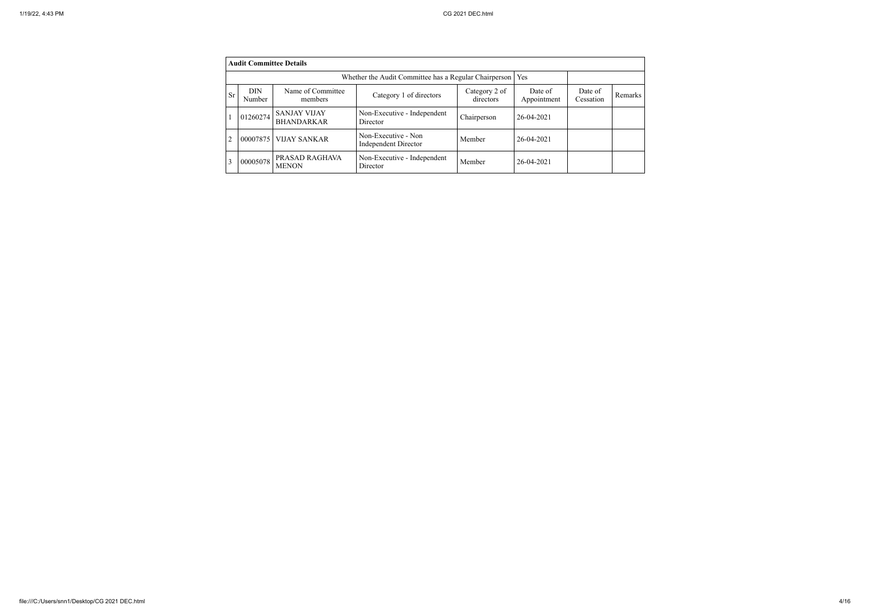|           | <b>Audit Committee Details</b> |                                          |                                                       |                            |                        |                      |         |
|-----------|--------------------------------|------------------------------------------|-------------------------------------------------------|----------------------------|------------------------|----------------------|---------|
|           |                                |                                          | Whether the Audit Committee has a Regular Chairperson |                            | <b>Yes</b>             |                      |         |
| <b>Sr</b> | <b>DIN</b><br>Number           | Name of Committee<br>members             | Category 1 of directors                               | Category 2 of<br>directors | Date of<br>Appointment | Date of<br>Cessation | Remarks |
|           | 01260274                       | <b>SANJAY VIJAY</b><br><b>BHANDARKAR</b> | Non-Executive - Independent<br>Director               | Chairperson                | 26-04-2021             |                      |         |
| 2         | 00007875                       | <b>VIJAY SANKAR</b>                      | Non-Executive - Non<br><b>Independent Director</b>    | Member                     | 26-04-2021             |                      |         |
| 3         | 00005078                       | PRASAD RAGHAVA<br><b>MENON</b>           | Non-Executive - Independent<br>Director               | Member                     | 26-04-2021             |                      |         |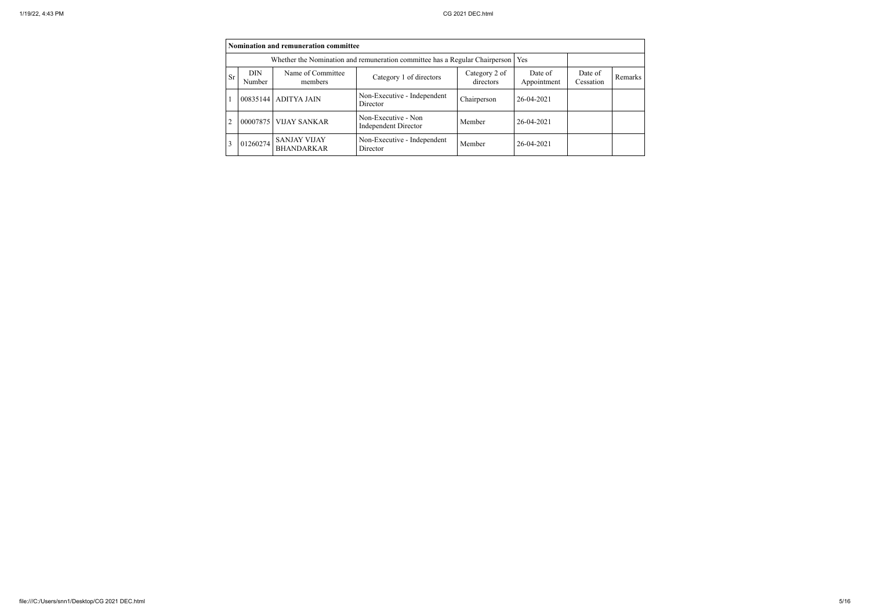|    | Nomination and remuneration committee |                                          |                                                                                   |                            |                        |                      |         |
|----|---------------------------------------|------------------------------------------|-----------------------------------------------------------------------------------|----------------------------|------------------------|----------------------|---------|
|    |                                       |                                          | Whether the Nomination and remuneration committee has a Regular Chairperson   Yes |                            |                        |                      |         |
| Sr | <b>DIN</b><br>Number                  | Name of Committee<br>members             | Category 1 of directors                                                           | Category 2 of<br>directors | Date of<br>Appointment | Date of<br>Cessation | Remarks |
|    |                                       | 00835144 ADITYA JAIN                     | Non-Executive - Independent<br>Director                                           | Chairperson                | 26-04-2021             |                      |         |
| 2  |                                       | 00007875   VIJAY SANKAR                  | Non-Executive - Non<br><b>Independent Director</b>                                | Member                     | 26-04-2021             |                      |         |
| 3  | 01260274                              | <b>SANJAY VIJAY</b><br><b>BHANDARKAR</b> | Non-Executive - Independent<br>Director                                           | Member                     | 26-04-2021             |                      |         |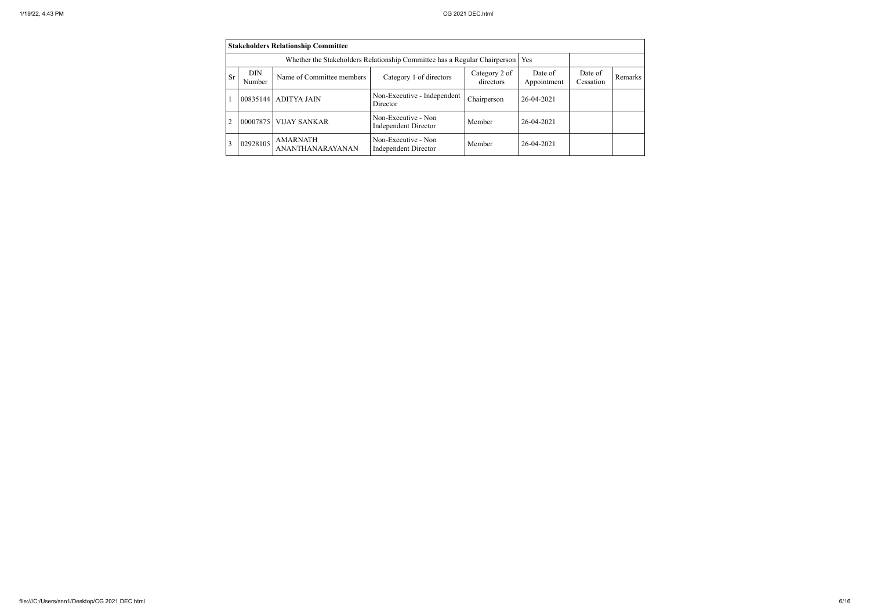|                | <b>Stakeholders Relationship Committee</b> |                                     |                                                                           |                            |                        |                      |         |
|----------------|--------------------------------------------|-------------------------------------|---------------------------------------------------------------------------|----------------------------|------------------------|----------------------|---------|
|                |                                            |                                     | Whether the Stakeholders Relationship Committee has a Regular Chairperson |                            | Yes                    |                      |         |
| Sr             | <b>DIN</b><br>Number                       | Name of Committee members           | Category 1 of directors                                                   | Category 2 of<br>directors | Date of<br>Appointment | Date of<br>Cessation | Remarks |
|                | 00835144                                   | <b>ADITYA JAIN</b>                  | Non-Executive - Independent<br>Director                                   | Chairperson                | 26-04-2021             |                      |         |
| $\overline{2}$ | 00007875                                   | <b>VIJAY SANKAR</b>                 | Non-Executive - Non<br><b>Independent Director</b>                        | Member                     | 26-04-2021             |                      |         |
| 3              | 02928105                                   | <b>AMARNATH</b><br>ANANTHANARAYANAN | Non-Executive - Non<br><b>Independent Director</b>                        | Member                     | 26-04-2021             |                      |         |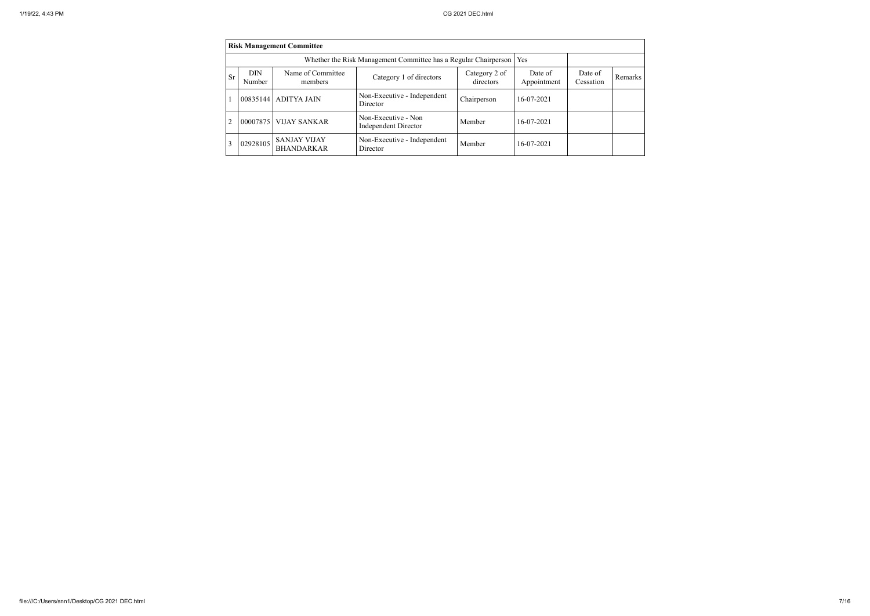|           | <b>Risk Management Committee</b> |                                          |                                                                       |                            |                        |                      |         |  |
|-----------|----------------------------------|------------------------------------------|-----------------------------------------------------------------------|----------------------------|------------------------|----------------------|---------|--|
|           |                                  |                                          | Whether the Risk Management Committee has a Regular Chairperson   Yes |                            |                        |                      |         |  |
| <b>Sr</b> | <b>DIN</b><br>Number             | Name of Committee<br>members             | Category 1 of directors                                               | Category 2 of<br>directors | Date of<br>Appointment | Date of<br>Cessation | Remarks |  |
|           |                                  | 00835144   ADITYA JAIN                   | Non-Executive - Independent<br>Director                               | Chairperson                | 16-07-2021             |                      |         |  |
| 2         | 00007875                         | <b>VIJAY SANKAR</b>                      | Non-Executive - Non<br><b>Independent Director</b>                    | Member                     | 16-07-2021             |                      |         |  |
| 3         | 02928105                         | <b>SANJAY VIJAY</b><br><b>BHANDARKAR</b> | Non-Executive - Independent<br>Director                               | Member                     | 16-07-2021             |                      |         |  |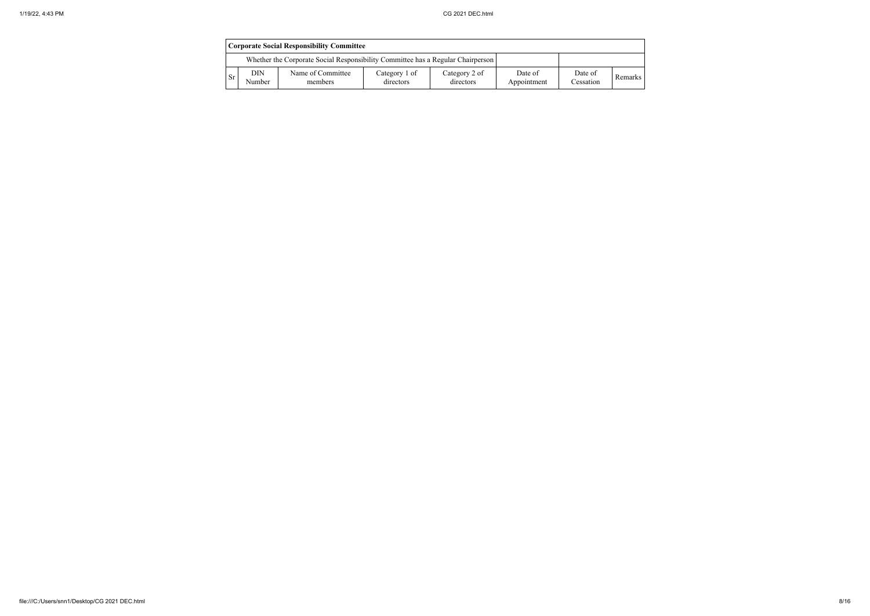|     |               | <b>Corporate Social Responsibility Committee</b>                                |                            |                            |                        |                      |                |
|-----|---------------|---------------------------------------------------------------------------------|----------------------------|----------------------------|------------------------|----------------------|----------------|
|     |               | Whether the Corporate Social Responsibility Committee has a Regular Chairperson |                            |                            |                        |                      |                |
| -Sr | DIN<br>Number | Name of Committee<br>members                                                    | Category 1 of<br>directors | Category 2 of<br>directors | Date of<br>Appointment | Date of<br>Cessation | <b>Remarks</b> |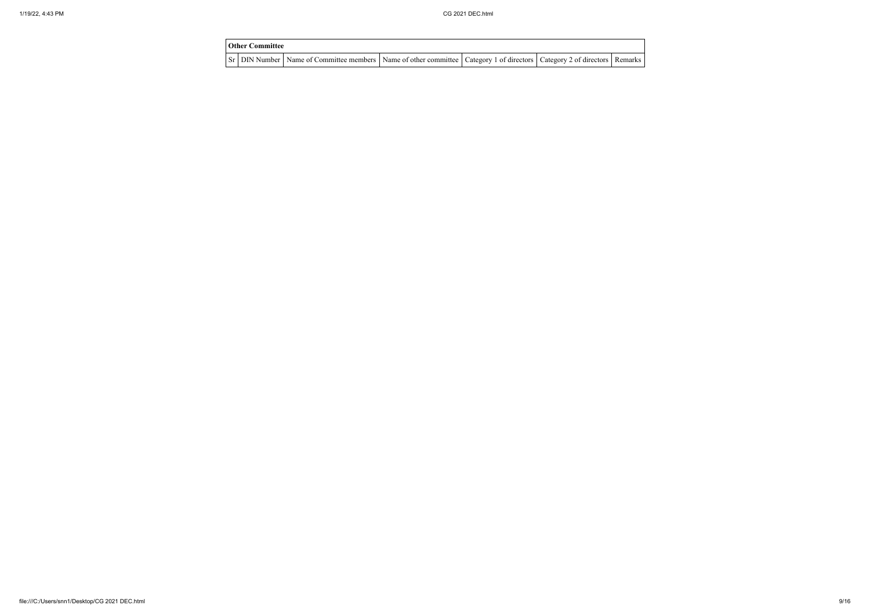| <b>Other Committee</b> |                                                                                                                                     |  |  |
|------------------------|-------------------------------------------------------------------------------------------------------------------------------------|--|--|
|                        | Sr   DIN Number   Name of Committee members   Name of other committee   Category 1 of directors   Category 2 of directors   Remarks |  |  |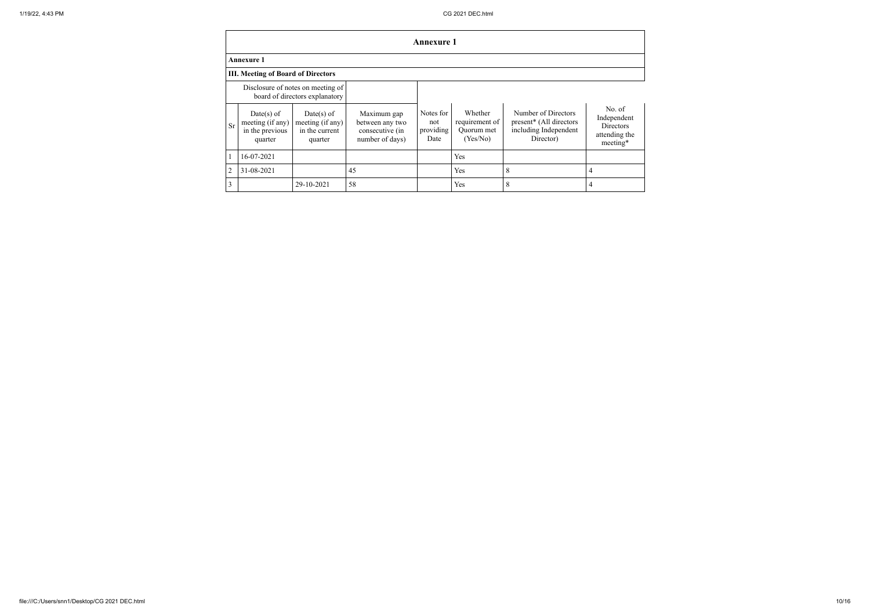|                |                                                                |                                                                     |                                                                      | <b>Annexure 1</b>                     |                                                     |                                                                                      |                                                                 |
|----------------|----------------------------------------------------------------|---------------------------------------------------------------------|----------------------------------------------------------------------|---------------------------------------|-----------------------------------------------------|--------------------------------------------------------------------------------------|-----------------------------------------------------------------|
|                | <b>Annexure 1</b>                                              |                                                                     |                                                                      |                                       |                                                     |                                                                                      |                                                                 |
|                | <b>III. Meeting of Board of Directors</b>                      |                                                                     |                                                                      |                                       |                                                     |                                                                                      |                                                                 |
|                |                                                                | Disclosure of notes on meeting of<br>board of directors explanatory |                                                                      |                                       |                                                     |                                                                                      |                                                                 |
| Sr             | $Date(s)$ of<br>meeting (if any)<br>in the previous<br>quarter | $Date(s)$ of<br>meeting (if any)<br>in the current<br>quarter       | Maximum gap<br>between any two<br>consecutive (in<br>number of days) | Notes for<br>not<br>providing<br>Date | Whether<br>requirement of<br>Quorum met<br>(Yes/No) | Number of Directors<br>present* (All directors<br>including Independent<br>Director) | No. of<br>Independent<br>Directors<br>attending the<br>meeting* |
| $\mathbf{1}$   | 16-07-2021                                                     |                                                                     |                                                                      |                                       | Yes                                                 |                                                                                      |                                                                 |
| $\overline{2}$ | 31-08-2021                                                     |                                                                     | 45                                                                   |                                       | Yes                                                 | 8                                                                                    | 4                                                               |
| 3              |                                                                | 29-10-2021                                                          | 58                                                                   |                                       | Yes                                                 | 8                                                                                    | 4                                                               |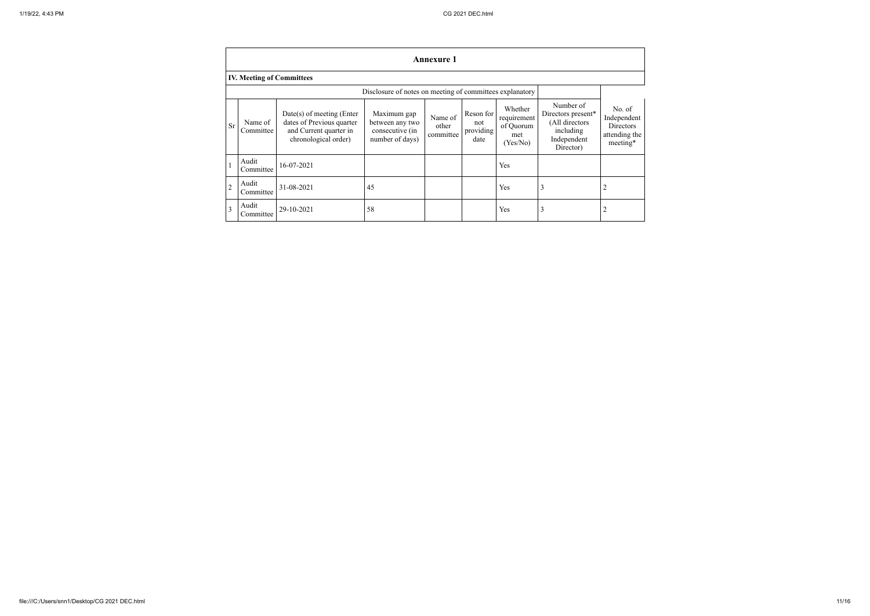|                |                                  |                                                                                                            |                                                                      | <b>Annexure 1</b>             |                                       |                                                        |                                                                                            |                                                                        |
|----------------|----------------------------------|------------------------------------------------------------------------------------------------------------|----------------------------------------------------------------------|-------------------------------|---------------------------------------|--------------------------------------------------------|--------------------------------------------------------------------------------------------|------------------------------------------------------------------------|
|                | <b>IV. Meeting of Committees</b> |                                                                                                            |                                                                      |                               |                                       |                                                        |                                                                                            |                                                                        |
|                |                                  |                                                                                                            | Disclosure of notes on meeting of committees explanatory             |                               |                                       |                                                        |                                                                                            |                                                                        |
| Sr             | Name of<br>Committee             | $Date(s)$ of meeting (Enter<br>dates of Previous quarter<br>and Current quarter in<br>chronological order) | Maximum gap<br>between any two<br>consecutive (in<br>number of days) | Name of<br>other<br>committee | Reson for<br>not<br>providing<br>date | Whether<br>requirement<br>of Quorum<br>met<br>(Yes/No) | Number of<br>Directors present*<br>(All directors<br>including<br>Independent<br>Director) | No. of<br>Independent<br><b>Directors</b><br>attending the<br>meeting* |
|                | Audit<br>Committee               | 16-07-2021                                                                                                 |                                                                      |                               |                                       | Yes                                                    |                                                                                            |                                                                        |
| $\overline{c}$ | Audit<br>Committee               | 31-08-2021                                                                                                 | 45                                                                   |                               |                                       | Yes                                                    | 3                                                                                          | 2                                                                      |
| 3              | Audit<br>Committee               | 29-10-2021                                                                                                 | 58                                                                   |                               |                                       | Yes                                                    | 3                                                                                          | 2                                                                      |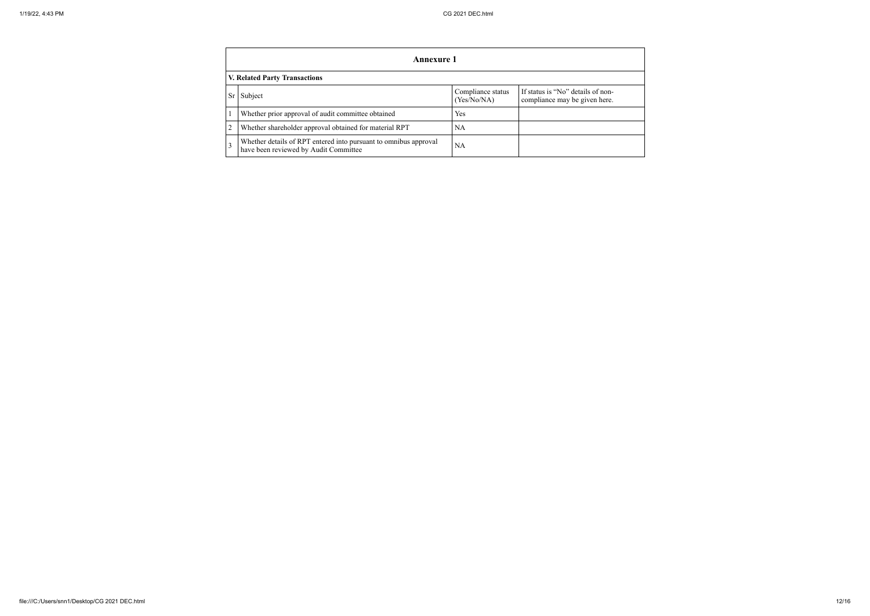|      | <b>Annexure 1</b>                                                                                         |                                  |                                                                    |  |  |  |  |  |  |
|------|-----------------------------------------------------------------------------------------------------------|----------------------------------|--------------------------------------------------------------------|--|--|--|--|--|--|
|      | <b>V. Related Party Transactions</b>                                                                      |                                  |                                                                    |  |  |  |  |  |  |
| Sr I | Subject                                                                                                   | Compliance status<br>(Yes/No/NA) | If status is "No" details of non-<br>compliance may be given here. |  |  |  |  |  |  |
|      | Whether prior approval of audit committee obtained                                                        | Yes                              |                                                                    |  |  |  |  |  |  |
|      | Whether shareholder approval obtained for material RPT                                                    | NA                               |                                                                    |  |  |  |  |  |  |
|      | Whether details of RPT entered into pursuant to omnibus approval<br>have been reviewed by Audit Committee | NA                               |                                                                    |  |  |  |  |  |  |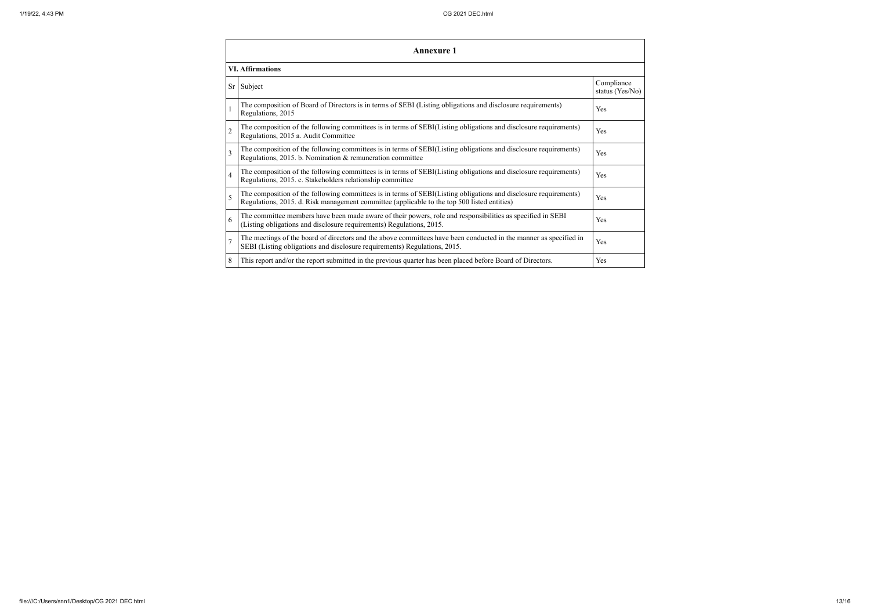| Annexure 1              |                                                                                                                                                                                                                 |                               |  |  |
|-------------------------|-----------------------------------------------------------------------------------------------------------------------------------------------------------------------------------------------------------------|-------------------------------|--|--|
| <b>VI. Affirmations</b> |                                                                                                                                                                                                                 |                               |  |  |
| Sr <sub>1</sub>         | Subject                                                                                                                                                                                                         | Compliance<br>status (Yes/No) |  |  |
|                         | The composition of Board of Directors is in terms of SEBI (Listing obligations and disclosure requirements)<br>Regulations, 2015                                                                                | Yes                           |  |  |
|                         | The composition of the following committees is in terms of SEBI(Listing obligations and disclosure requirements)<br>Regulations, 2015 a. Audit Committee                                                        | Yes                           |  |  |
| 3                       | The composition of the following committees is in terms of SEBI(Listing obligations and disclosure requirements)<br>Regulations, 2015. b. Nomination & remuneration committee                                   | Yes                           |  |  |
| 4                       | The composition of the following committees is in terms of SEBI(Listing obligations and disclosure requirements)<br>Regulations, 2015. c. Stakeholders relationship committee                                   | Yes                           |  |  |
|                         | The composition of the following committees is in terms of SEBI(Listing obligations and disclosure requirements)<br>Regulations, 2015. d. Risk management committee (applicable to the top 500 listed entities) | Yes                           |  |  |
| 6                       | The committee members have been made aware of their powers, role and responsibilities as specified in SEBI<br>(Listing obligations and disclosure requirements) Regulations, 2015.                              | Yes                           |  |  |
|                         | The meetings of the board of directors and the above committees have been conducted in the manner as specified in<br>SEBI (Listing obligations and disclosure requirements) Regulations, 2015.                  | Yes                           |  |  |
| 8                       | This report and/or the report submitted in the previous quarter has been placed before Board of Directors.                                                                                                      | Yes                           |  |  |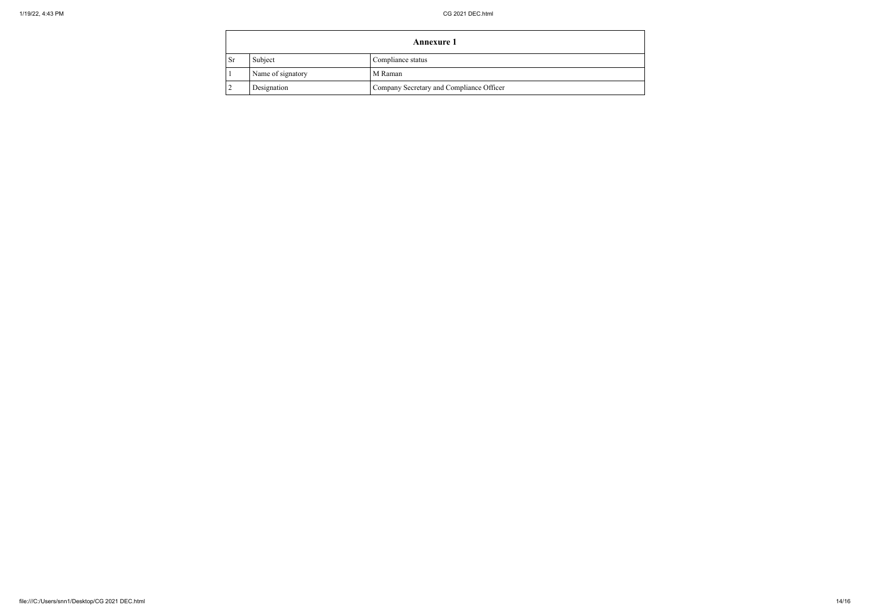|           | <b>Annexure 1</b> |                                          |  |
|-----------|-------------------|------------------------------------------|--|
| <b>Sr</b> | Subject           | Compliance status                        |  |
|           | Name of signatory | M Raman                                  |  |
|           | Designation       | Company Secretary and Compliance Officer |  |